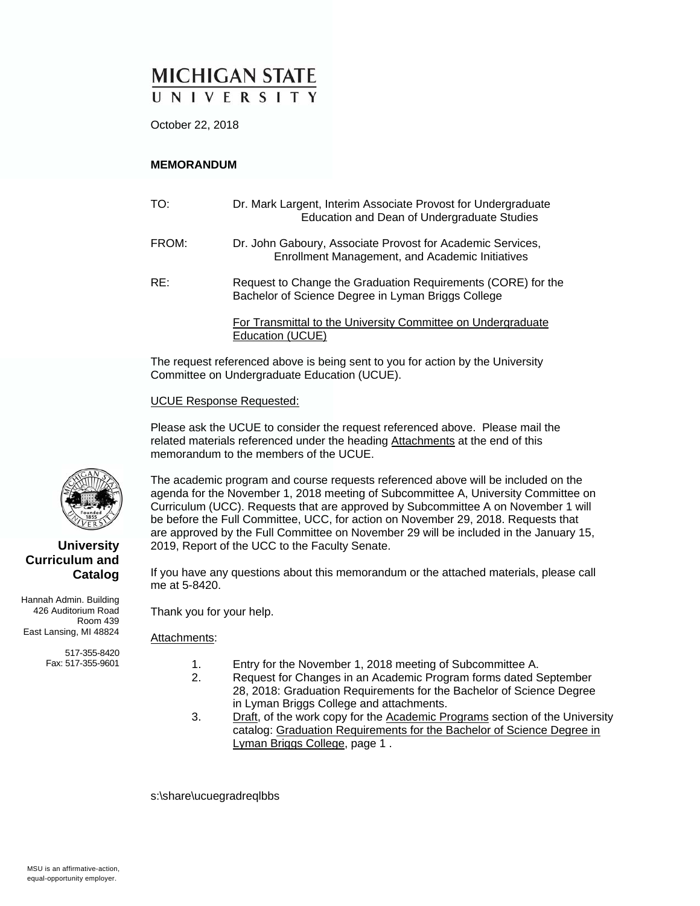# **MICHIGAN STATE** UNIVERSITY

October 22, 2018

#### **MEMORANDUM**

| TO:   | Dr. Mark Largent, Interim Associate Provost for Undergraduate<br>Education and Dean of Undergraduate Studies       |
|-------|--------------------------------------------------------------------------------------------------------------------|
| FROM: | Dr. John Gaboury, Associate Provost for Academic Services,<br>Enrollment Management, and Academic Initiatives      |
| RE:   | Request to Change the Graduation Requirements (CORE) for the<br>Bachelor of Science Degree in Lyman Briggs College |
|       | For Transmittal to the University Committee on Undergraduate<br>Education (UCUE)                                   |

The request referenced above is being sent to you for action by the University Committee on Undergraduate Education (UCUE).

#### UCUE Response Requested:

Please ask the UCUE to consider the request referenced above. Please mail the related materials referenced under the heading Attachments at the end of this memorandum to the members of the UCUE.

The academic program and course requests referenced above will be included on the agenda for the November 1, 2018 meeting of Subcommittee A, University Committee on Curriculum (UCC). Requests that are approved by Subcommittee A on November 1 will be before the Full Committee, UCC, for action on November 29, 2018. Requests that are approved by the Full Committee on November 29 will be included in the January 15, 2019, Report of the UCC to the Faculty Senate.

If you have any questions about this memorandum or the attached materials, please call me at 5-8420.

Thank you for your help.

#### Attachments:

- 1. Entry for the November 1, 2018 meeting of Subcommittee A.
- 2. Request for Changes in an Academic Program forms dated September 28, 2018: Graduation Requirements for the Bachelor of Science Degree in Lyman Briggs College and attachments.
- 3. Draft, of the work copy for the Academic Programs section of the University catalog: Graduation Requirements for the Bachelor of Science Degree in Lyman Briggs College, page 1 .

s:\share\ucuegradreqlbbs



#### **University Curriculum and Catalog**

Hannah Admin. Building 426 Auditorium Road Room 439 East Lansing, MI 48824

> 517-355-8420 Fax: 517-355-9601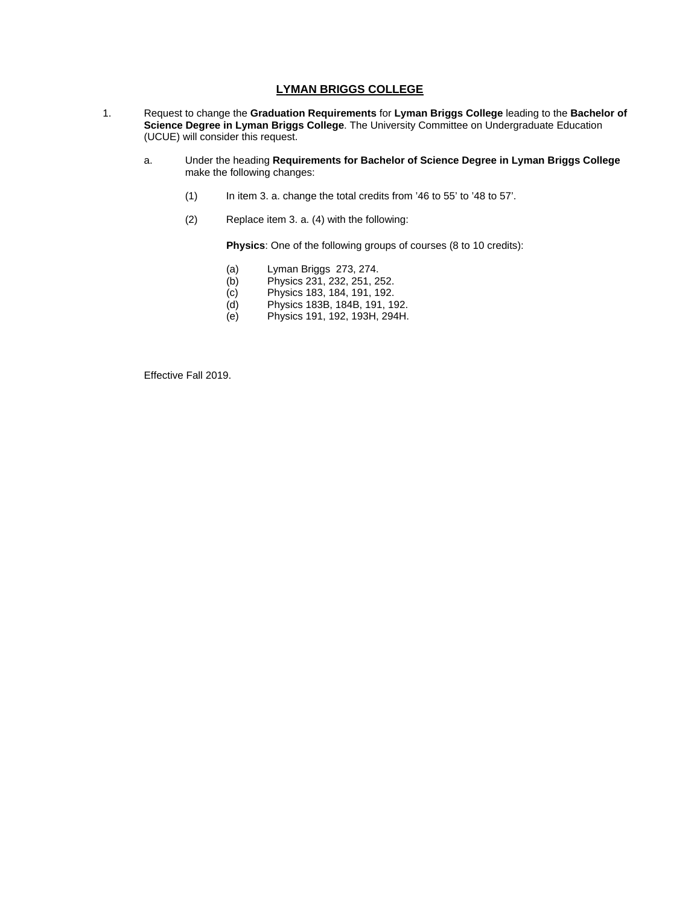#### **LYMAN BRIGGS COLLEGE**

- 1. Request to change the **Graduation Requirements** for **Lyman Briggs College** leading to the **Bachelor of Science Degree in Lyman Briggs College**. The University Committee on Undergraduate Education (UCUE) will consider this request.
	- a. Under the heading **Requirements for Bachelor of Science Degree in Lyman Briggs College** make the following changes:
		- (1) In item 3. a. change the total credits from '46 to 55' to '48 to 57'.
		- (2) Replace item 3. a. (4) with the following:

**Physics**: One of the following groups of courses (8 to 10 credits):

- (a) Lyman Briggs 273, 274.
- (b) Physics 231, 232, 251, 252.
- (c) Physics 183, 184, 191, 192.
- (d) Physics 183B, 184B, 191, 192.
- (e) Physics 191, 192, 193H, 294H.

Effective Fall 2019.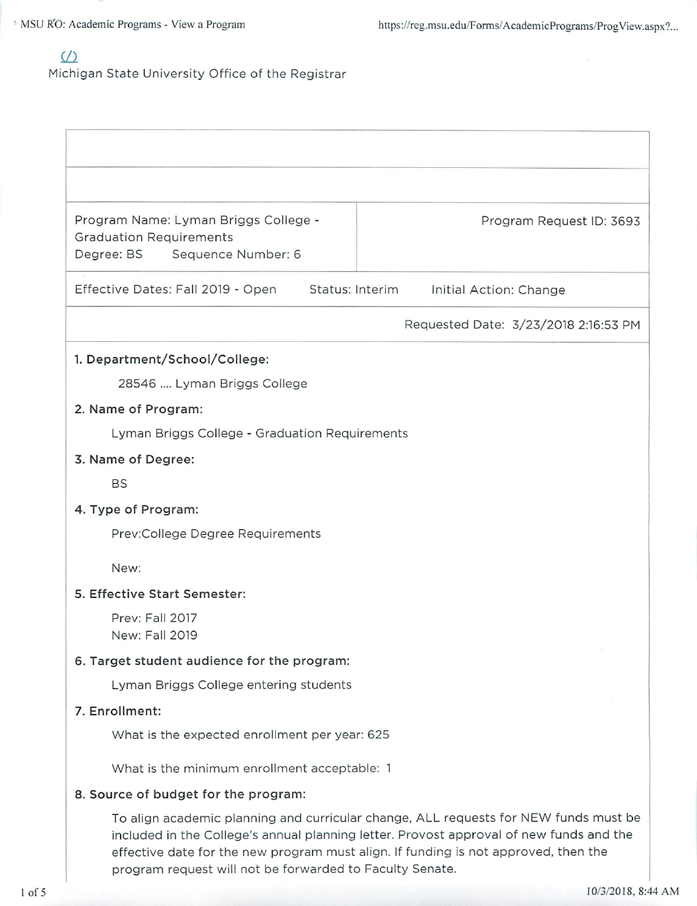# $\sqrt{2}$

Michigan State University Office of the Registrar

| Program Name: Lyman Briggs College -<br><b>Graduation Requirements</b><br>Degree: BS<br>Sequence Number: 6                                                                                                                                                                                                                         | Program Request ID: 3693             |  |  |
|------------------------------------------------------------------------------------------------------------------------------------------------------------------------------------------------------------------------------------------------------------------------------------------------------------------------------------|--------------------------------------|--|--|
| Effective Dates: Fall 2019 - Open Status: Interim                                                                                                                                                                                                                                                                                  | Initial Action: Change               |  |  |
|                                                                                                                                                                                                                                                                                                                                    | Requested Date: 3/23/2018 2:16:53 PM |  |  |
| 1. Department/School/College:<br>28546  Lyman Briggs College<br>2. Name of Program:<br>Lyman Briggs College - Graduation Requirements<br>3. Name of Degree:                                                                                                                                                                        |                                      |  |  |
| <b>BS</b><br>4. Type of Program:                                                                                                                                                                                                                                                                                                   |                                      |  |  |
| Prev:College Degree Requirements                                                                                                                                                                                                                                                                                                   |                                      |  |  |
| New:                                                                                                                                                                                                                                                                                                                               |                                      |  |  |
| 5. Effective Start Semester:                                                                                                                                                                                                                                                                                                       |                                      |  |  |
| Prev: Fall 2017<br>New: Fall 2019                                                                                                                                                                                                                                                                                                  |                                      |  |  |
| 6. Target student audience for the program:                                                                                                                                                                                                                                                                                        |                                      |  |  |
| Lyman Briggs College entering students                                                                                                                                                                                                                                                                                             |                                      |  |  |
| 7. Enrollment:                                                                                                                                                                                                                                                                                                                     |                                      |  |  |
| What is the expected enrollment per year: 625                                                                                                                                                                                                                                                                                      |                                      |  |  |
| What is the minimum enrollment acceptable: 1                                                                                                                                                                                                                                                                                       |                                      |  |  |
| 8. Source of budget for the program:                                                                                                                                                                                                                                                                                               |                                      |  |  |
| To align academic planning and curricular change, ALL requests for NEW funds must be<br>included in the College's annual planning letter. Provost approval of new funds and the<br>effective date for the new program must align. If funding is not approved, then the<br>program request will not be forwarded to Faculty Senate. |                                      |  |  |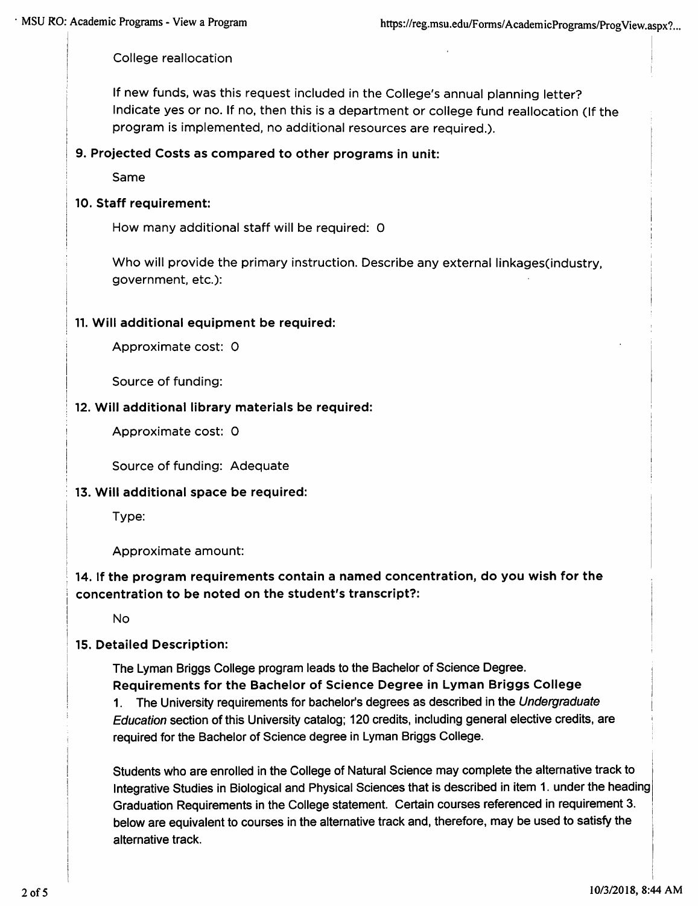College reallocation

If new funds, was this request included in the College's annual planning letter? Indicate yes or no. If no, then this is a department or college fund reallocation (If the program is implemented, no additional resources are required.).

# 9. Projected Costs as compared to other programs in unit:

Same

# 10. Staff requirement:

How many additional staff will be required: 0

Who will provide the primary instruction. Describe any external linkages(industry, government, etc.):

# 11. Will additional equipment be required:

Approximate cost: 0

Source of funding:

### 12. Will additional library materials be required:

Approximate cost: 0

Source of funding: Adequate

### 13. Will additional space be required:

Type:

Approximate amount:

# 14. If the program requirements contain a named concentration, do you wish for the concentration to be noted on the student's transcript?:

**No** 

### 15. Detailed Description:

The Lyman Briggs College program leads to the Bachelor of Science Degree. Requirements for the Bachelor of Science Degree in Lyman Briggs College 1. The University requirements for bachelor's degrees as described in the Undergraduate Education section of this University catalog; 120 credits, including general elective credits, are required for the Bachelor of Science degree in Lyman Briggs College.

Students who are enrolled in the College of Natural Science may complete the alternative track to Integrative Studies in Biological and Physical Sciences that is described in item 1. under the heading Graduation Requirements in the College statement. Certain courses referenced in requirement 3. below are equivalent to courses in the alternative track and, therefore, may be used to satisfy the alternative track.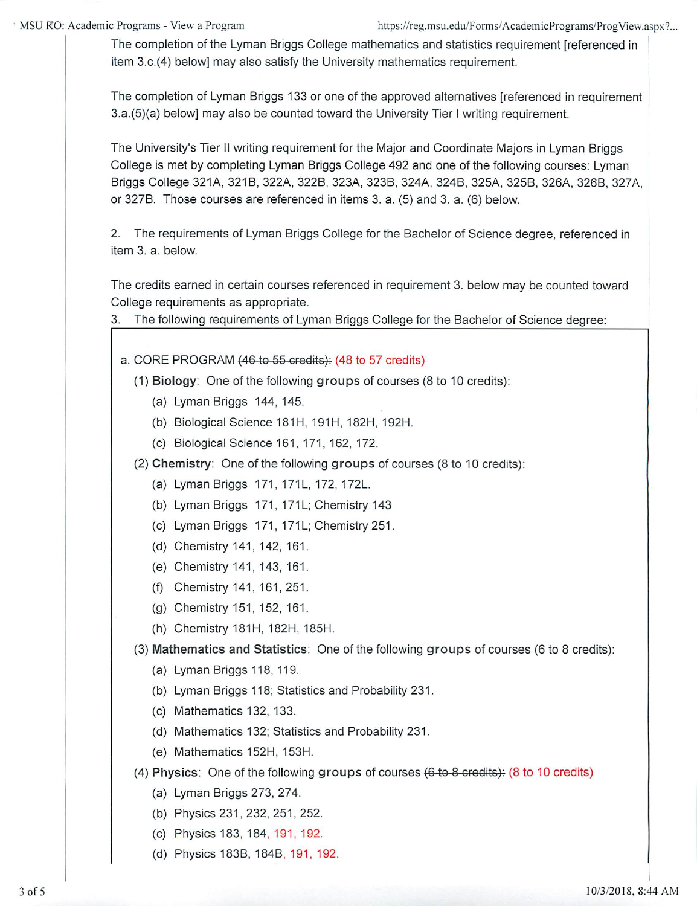The completion of the Lyman Briggs College mathematics and statistics requirement [referenced in item 3.c.(4) below] may also satisfy the University mathematics requirement.

The completion of Lyman Briggs 133 or one of the approved alternatives [referenced in requirement] 3.a.(5)(a) below] may also be counted toward the University Tier I writing requirement.

The University's Tier II writing requirement for the Major and Coordinate Majors in Lyman Briggs College is met by completing Lyman Briggs College 492 and one of the following courses: Lyman Briggs College 321A, 321B, 322A, 322B, 323A, 323B, 324A, 324B, 325A, 325B, 326A, 326B, 327A, or 327B. Those courses are referenced in items 3. a. (5) and 3. a. (6) below.

2. The requirements of Lyman Briggs College for the Bachelor of Science degree, referenced in item 3. a. below.

The credits earned in certain courses referenced in requirement 3. below may be counted toward College requirements as appropriate.

The following requirements of Lyman Briggs College for the Bachelor of Science degree: 3.

a. CORE PROGRAM (46 to 55 credits): (48 to 57 credits)

- (1) Biology: One of the following groups of courses (8 to 10 credits):
	- (a) Lyman Briggs 144, 145.
	- (b) Biological Science 181H, 191H, 182H, 192H.
	- (c) Biological Science 161, 171, 162, 172.

(2) Chemistry: One of the following groups of courses (8 to 10 credits):

- (a) Lyman Briggs 171, 171L, 172, 172L.
- (b) Lyman Briggs 171, 171L; Chemistry 143
- (c) Lyman Briggs 171, 171L; Chemistry 251.
- (d) Chemistry 141, 142, 161.
- (e) Chemistry 141, 143, 161.
- (f) Chemistry 141, 161, 251.
- (g) Chemistry 151, 152, 161.
- (h) Chemistry 181H, 182H, 185H.

(3) Mathematics and Statistics: One of the following groups of courses (6 to 8 credits):

- (a) Lyman Briggs 118, 119.
- (b) Lyman Briggs 118; Statistics and Probability 231.
- (c) Mathematics 132, 133.
- (d) Mathematics 132; Statistics and Probability 231.
- (e) Mathematics 152H, 153H.
- (4) Physics: One of the following groups of courses (6 to 8 credits): (8 to 10 credits)
	- (a) Lyman Briggs 273, 274.
	- (b) Physics 231, 232, 251, 252.
	- (c) Physics 183, 184, 191, 192.
	- (d) Physics 183B, 184B, 191, 192.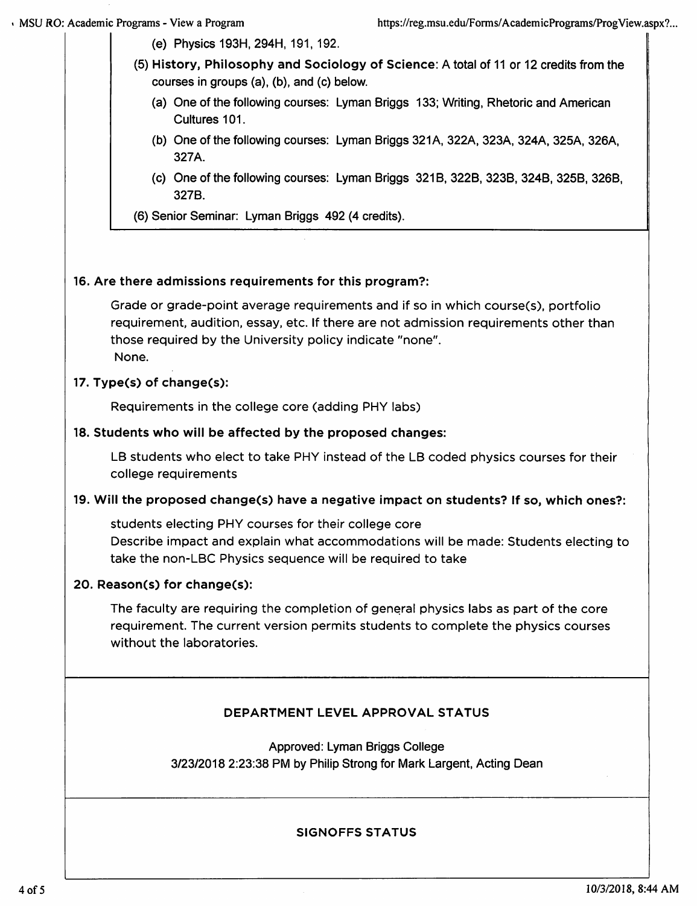(e) Physics 193H, 294H, 191, 192.

- (5) History, Philosophy and Sociology of Science: A total of 11 or 12 credits from the courses in groups (a), (b), and (c) below.
	- (a) One of the following courses: Lyman Briggs 133; Writing, Rhetoric and American Cultures 101.
	- (b) One of the following courses: Lyman Briggs 321A, 322A, 323A, 324A, 325A, 326A, 327A.
	- (c) One of the following courses: Lyman Briggs 321B, 322B, 323B, 324B, 325B, 326B, 327B.
- (6) Senior Seminar: Lyman Briggs 492 (4 credits).

# 16. Are there admissions requirements for this program?:

Grade or grade-point average requirements and if so in which course(s), portfolio requirement, audition, essay, etc. If there are not admission requirements other than those required by the University policy indicate "none". None.

# 17. Type(s) of change(s):

Requirements in the college core (adding PHY labs)

### 18. Students who will be affected by the proposed changes:

LB students who elect to take PHY instead of the LB coded physics courses for their college requirements

### 19. Will the proposed change(s) have a negative impact on students? If so, which ones?:

students electing PHY courses for their college core Describe impact and explain what accommodations will be made: Students electing to take the non-LBC Physics sequence will be required to take

### 20. Reason(s) for change(s):

The faculty are requiring the completion of general physics labs as part of the core requirement. The current version permits students to complete the physics courses without the laboratories.

# DEPARTMENT LEVEL APPROVAL STATUS

Approved: Lyman Briggs College 3/23/2018 2:23:38 PM by Philip Strong for Mark Largent, Acting Dean

### **SIGNOFFS STATUS**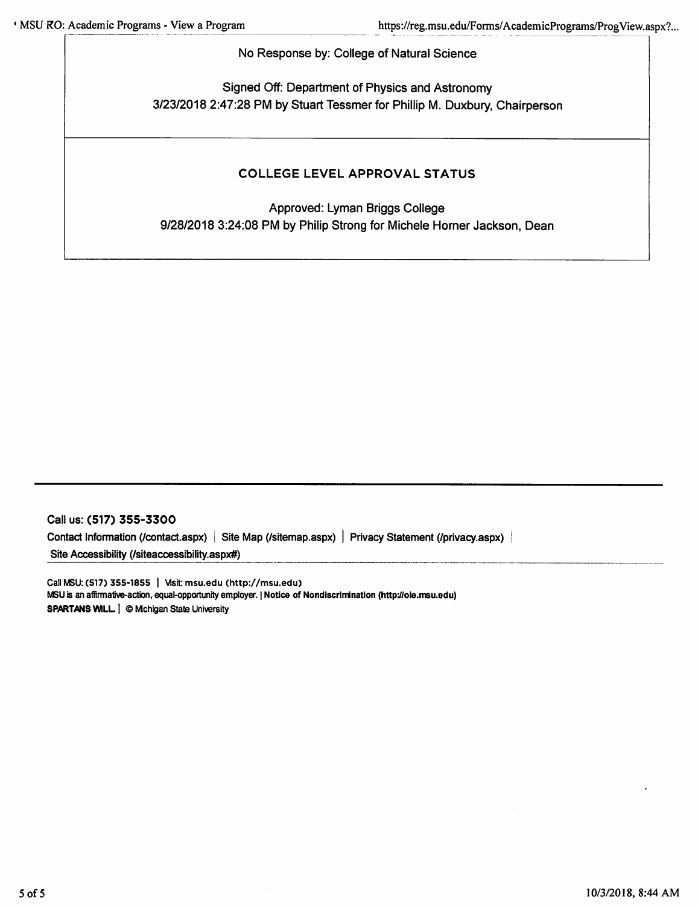No Response by: College of Natural Science

Signed Off: Department of Physics and Astronomy 3/23/2018 2:47:28 PM by Stuart Tessmer for Phillip M. Duxbury, Chairperson

# **COLLEGE LEVEL APPROVAL STATUS**

Approved: Lyman Briggs College 9/28/2018 3:24:08 PM by Philip Strong for Michele Horner Jackson, Dean

Call us: (517) 355-3300 Contact Information (/contact.aspx) | Site Map (/sitemap.aspx) | Privacy Statement (/privacy.aspx) | Site Accessibility (/siteaccessibility.aspx#)

Call MSU: (517) 355-1855 | Visit: msu.edu (http://msu.edu) MSU is an affirmative-action, equal-opportunity employer. | Notice of Nondiscrimination (http://oie.msu.edu) **SPARTANS WILL. | © Michigan State University**